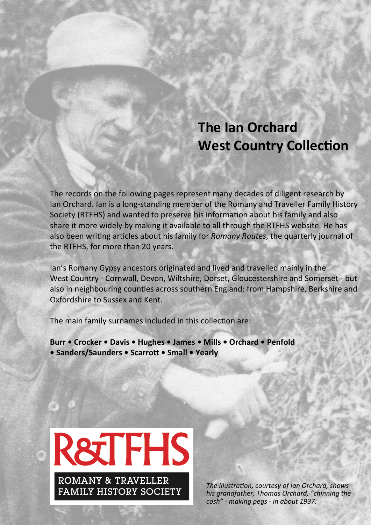# **The Ian Orchard West Country Collection**

The records on the following pages represent many decades of diligent research by Ian Orchard. Ian is a long-standing member of the Romany and Traveller Family History Society (RTFHS) and wanted to preserve his information about his family and also share it more widely by making it available to all through the RTFHS website. He has also been writing articles about his family for *Romany Routes*, the quarterly journal of the RTFHS, for more than 20 years.

Ian's Romany Gypsy ancestors originated and lived and travelled mainly in the West Country - Cornwall, Devon, Wiltshire, Dorset, Gloucestershire and Somerset - but also in neighbouring counties across southern England: from Hampshire, Berkshire and Oxfordshire to Sussex and Kent.

The main family surnames included in this collection are:

Burr • Crocker • Davis • Hughes • James • Mills • Orchard • Penfold • Sanders/Saunders • Scarrott • Small • Yearly



The illustration, courtesy of Ian Orchard, shows his grandfather, Thomas Orchard, "chinning the *cosh" - making pegs - in about 1937.*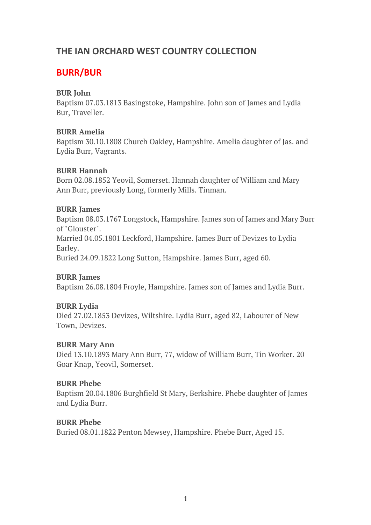# **THE IAN ORCHARD WEST COUNTRY COLLECTION**

# **BURR/BUR**

### **BUR John**

Baptism 07.03.1813 Basingstoke, Hampshire. John son of James and Lydia Bur, Traveller.

### **BURR Amelia**

Baptism 30.10.1808 Church Oakley, Hampshire. Amelia daughter of Jas. and Lydia Burr, Vagrants.

### **BURR Hannah**

Born 02.08.1852 Yeovil, Somerset. Hannah daughter of William and Mary Ann Burr, previously Long, formerly Mills. Tinman.

### **BURR James**

Baptism 08.03.1767 Longstock, Hampshire. James son of James and Mary Burr of "Glouster". Married 04.05.1801 Leckford, Hampshire. James Burr of Devizes to Lydia Earley. Buried 24.09.1822 Long Sutton, Hampshire. James Burr, aged 60.

### **BURR James**

Baptism 26.08.1804 Froyle, Hampshire. James son of James and Lydia Burr.

### **BURR Lydia**

Died 27.02.1853 Devizes, Wiltshire. Lydia Burr, aged 82, Labourer of New Town, Devizes.

### **BURR Mary Ann**

Died 13.10.1893 Mary Ann Burr, 77, widow of William Burr, Tin Worker. 20 Goar Knap, Yeovil, Somerset.

### **BURR Phebe**

Baptism 20.04.1806 Burghfield St Mary, Berkshire. Phebe daughter of James and Lydia Burr.

### **BURR Phebe**

Buried 08.01.1822 Penton Mewsey, Hampshire. Phebe Burr, Aged 15.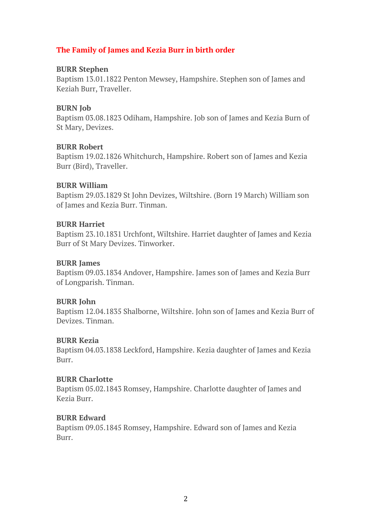### **The Family of James and Kezia Burr in birth order**

#### **BURR Stephen**

Baptism 13.01.1822 Penton Mewsey, Hampshire. Stephen son of James and Keziah Burr, Traveller.

#### **BURN Job**

Baptism 03.08.1823 Odiham, Hampshire. Job son of James and Kezia Burn of St Mary, Devizes.

#### **BURR Robert**

Baptism 19.02.1826 Whitchurch, Hampshire. Robert son of James and Kezia Burr (Bird), Traveller.

#### **BURR William**

Baptism 29.03.1829 St John Devizes, Wiltshire. (Born 19 March) William son of James and Kezia Burr. Tinman.

#### **BURR Harriet**

Baptism 23.10.1831 Urchfont, Wiltshire. Harriet daughter of James and Kezia Burr of St Mary Devizes. Tinworker.

#### **BURR James**

Baptism 09.03.1834 Andover, Hampshire. James son of James and Kezia Burr of Longparish. Tinman.

### **BURR John**

Baptism 12.04.1835 Shalborne, Wiltshire. John son of James and Kezia Burr of Devizes. Tinman.

### **BURR Kezia**

Baptism 04.03.1838 Leckford, Hampshire. Kezia daughter of James and Kezia Burr.

### **BURR Charlotte**

Baptism 05.02.1843 Romsey, Hampshire. Charlotte daughter of James and Kezia Burr.

### **BURR Edward**

Baptism 09.05.1845 Romsey, Hampshire. Edward son of James and Kezia Burr.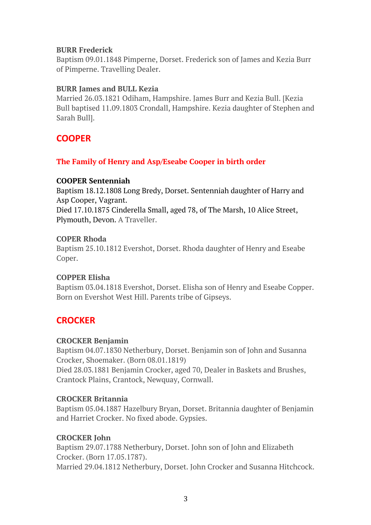#### **BURR Frederick**

Baptism 09.01.1848 Pimperne, Dorset. Frederick son of James and Kezia Burr of Pimperne. Travelling Dealer.

#### **BURR James and BULL Kezia**

Married 26.03.1821 Odiham, Hampshire. James Burr and Kezia Bull. [Kezia Bull baptised 11.09.1803 Crondall, Hampshire. Kezia daughter of Stephen and Sarah Bull].

# **COOPER**

### **The Family of Henry and Asp/Eseabe Cooper in birth order**

### **COOPER Sentenniah**

Baptism 18.12.1808 Long Bredy, Dorset. Sentenniah daughter of Harry and Asp Cooper, Vagrant. Died 17.10.1875 Cinderella Small, aged 78, of The Marsh, 10 Alice Street,

Plymouth, Devon. A Traveller.

#### **COPER Rhoda**

Baptism 25.10.1812 Evershot, Dorset. Rhoda daughter of Henry and Eseabe Coper.

### **COPPER Elisha**

Baptism 03.04.1818 Evershot, Dorset. Elisha son of Henry and Eseabe Copper. Born on Evershot West Hill. Parents tribe of Gipseys.

# **CROCKER**

### **CROCKER Benjamin**

Baptism 04.07.1830 Netherbury, Dorset. Benjamin son of John and Susanna Crocker, Shoemaker. (Born 08.01.1819)

Died 28.03.1881 Benjamin Crocker, aged 70, Dealer in Baskets and Brushes, Crantock Plains, Crantock, Newquay, Cornwall.

### **CROCKER Britannia**

Baptism 05.04.1887 Hazelbury Bryan, Dorset. Britannia daughter of Benjamin and Harriet Crocker. No fixed abode. Gypsies.

### **CROCKER John**

Baptism 29.07.1788 Netherbury, Dorset. John son of John and Elizabeth Crocker. (Born 17.05.1787). Married 29.04.1812 Netherbury, Dorset. John Crocker and Susanna Hitchcock.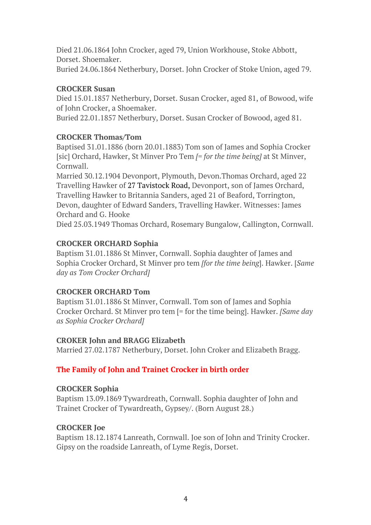Died 21.06.1864 John Crocker, aged 79, Union Workhouse, Stoke Abbott, Dorset. Shoemaker.

Buried 24.06.1864 Netherbury, Dorset. John Crocker of Stoke Union, aged 79.

### **CROCKER Susan**

Died 15.01.1857 Netherbury, Dorset. Susan Crocker, aged 81, of Bowood, wife of John Crocker, a Shoemaker.

Buried 22.01.1857 Netherbury, Dorset. Susan Crocker of Bowood, aged 81.

### **CROCKER Thomas/Tom**

Baptised 31.01.1886 (born 20.01.1883) Tom son of James and Sophia Crocker [sic] Orchard, Hawker, St Minver Pro Tem *[= for the time being]* at St Minver, Cornwall.

Married 30.12.1904 Devonport, Plymouth, Devon.Thomas Orchard, aged 22 Travelling Hawker of 27 Tavistock Road, Devonport, son of James Orchard, Travelling Hawker to Britannia Sanders, aged 21 of Beaford, Torrington, Devon, daughter of Edward Sanders, Travelling Hawker. Witnesses: James Orchard and G. Hooke

Died 25.03.1949 Thomas Orchard, Rosemary Bungalow, Callington, Cornwall.

### **CROCKER ORCHARD Sophia**

Baptism 31.01.1886 St Minver, Cornwall. Sophia daughter of James and Sophia Crocker Orchard, St Minver pro tem *[for the time being*]. Hawker. [*Same day as Tom Crocker Orchard]*

### **CROCKER ORCHARD Tom**

Baptism 31.01.1886 St Minver, Cornwall. Tom son of James and Sophia Crocker Orchard. St Minver pro tem [= for the time being]. Hawker. *[Same day as Sophia Crocker Orchard]*

### **CROKER John and BRAGG Elizabeth**

Married 27.02.1787 Netherbury, Dorset. John Croker and Elizabeth Bragg.

### **The Family of John and Trainet Crocker in birth order**

### **CROCKER Sophia**

Baptism 13.09.1869 Tywardreath, Cornwall. Sophia daughter of John and Trainet Crocker of Tywardreath, Gypsey/. (Born August 28.)

### **CROCKER Joe**

Baptism 18.12.1874 Lanreath, Cornwall. Joe son of John and Trinity Crocker. Gipsy on the roadside Lanreath, of Lyme Regis, Dorset.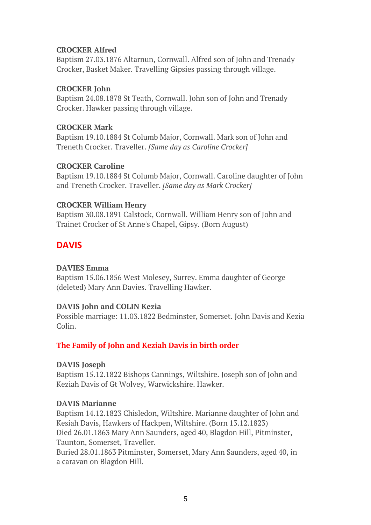### **CROCKER Alfred**

Baptism 27.03.1876 Altarnun, Cornwall. Alfred son of John and Trenady Crocker, Basket Maker. Travelling Gipsies passing through village.

### **CROCKER John**

Baptism 24.08.1878 St Teath, Cornwall. John son of John and Trenady Crocker. Hawker passing through village.

### **CROCKER Mark**

Baptism 19.10.1884 St Columb Major, Cornwall. Mark son of John and Treneth Crocker. Traveller. *[Same day as Caroline Crocker]*

### **CROCKER Caroline**

Baptism 19.10.1884 St Columb Major, Cornwall. Caroline daughter of John and Treneth Crocker. Traveller. *[Same day as Mark Crocker]*

### **CROCKER William Henry**

Baptism 30.08.1891 Calstock, Cornwall. William Henry son of John and Trainet Crocker of St Anne's Chapel, Gipsy. (Born August)

# **DAVIS**

### **DAVIES Emma**

Baptism 15.06.1856 West Molesey, Surrey. Emma daughter of George (deleted) Mary Ann Davies. Travelling Hawker.

### **DAVIS John and COLIN Kezia**

Possible marriage: 11.03.1822 Bedminster, Somerset. John Davis and Kezia Colin.

### **The Family of John and Keziah Davis in birth order**

### **DAVIS Joseph**

Baptism 15.12.1822 Bishops Cannings, Wiltshire. Joseph son of John and Keziah Davis of Gt Wolvey, Warwickshire. Hawker.

### **DAVIS Marianne**

Baptism 14.12.1823 Chisledon, Wiltshire. Marianne daughter of John and Kesiah Davis, Hawkers of Hackpen, Wiltshire. (Born 13.12.1823) Died 26.01.1863 Mary Ann Saunders, aged 40, Blagdon Hill, Pitminster, Taunton, Somerset, Traveller.

Buried 28.01.1863 Pitminster, Somerset, Mary Ann Saunders, aged 40, in a caravan on Blagdon Hill.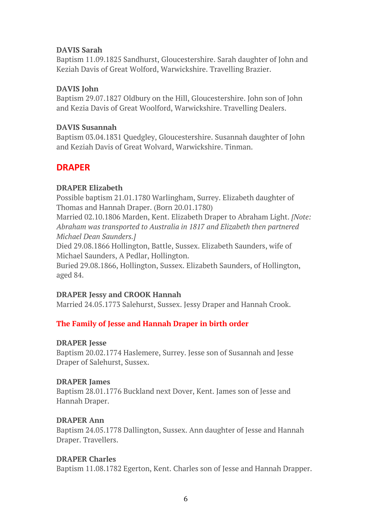### **DAVIS Sarah**

Baptism 11.09.1825 Sandhurst, Gloucestershire. Sarah daughter of John and Keziah Davis of Great Wolford, Warwickshire. Travelling Brazier.

### **DAVIS John**

Baptism 29.07.1827 Oldbury on the Hill, Gloucestershire. John son of John and Kezia Davis of Great Woolford, Warwickshire. Travelling Dealers.

### **DAVIS Susannah**

Baptism 03.04.1831 Quedgley, Gloucestershire. Susannah daughter of John and Keziah Davis of Great Wolvard, Warwickshire. Tinman.

# **DRAPER**

### **DRAPER Elizabeth**

Possible baptism 21.01.1780 Warlingham, Surrey. Elizabeth daughter of Thomas and Hannah Draper. (Born 20.01.1780)

Married 02.10.1806 Marden, Kent. Elizabeth Draper to Abraham Light. *[Note: Abraham was transported to Australia in 1817 and Elizabeth then partnered Michael Dean Saunders.]*

Died 29.08.1866 Hollington, Battle, Sussex. Elizabeth Saunders, wife of Michael Saunders, A Pedlar, Hollington.

Buried 29.08.1866, Hollington, Sussex. Elizabeth Saunders, of Hollington, aged 84.

### **DRAPER Jessy and CROOK Hannah**

Married 24.05.1773 Salehurst, Sussex. Jessy Draper and Hannah Crook.

### **The Family of Jesse and Hannah Draper in birth order**

### **DRAPER Jesse**

Baptism 20.02.1774 Haslemere, Surrey. Jesse son of Susannah and Jesse Draper of Salehurst, Sussex.

### **DRAPER James**

Baptism 28.01.1776 Buckland next Dover, Kent. James son of Jesse and Hannah Draper.

### **DRAPER Ann**

Baptism 24.05.1778 Dallington, Sussex. Ann daughter of Jesse and Hannah Draper. Travellers.

### **DRAPER Charles**

Baptism 11.08.1782 Egerton, Kent. Charles son of Jesse and Hannah Drapper.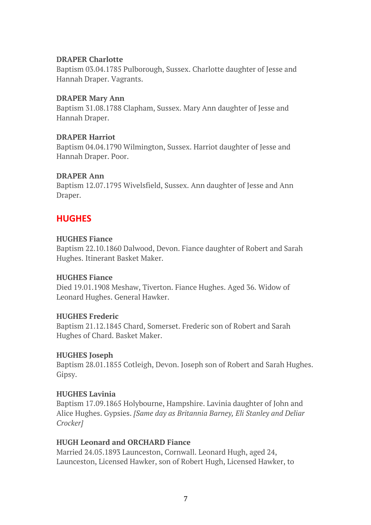#### **DRAPER Charlotte**

Baptism 03.04.1785 Pulborough, Sussex. Charlotte daughter of Jesse and Hannah Draper. Vagrants.

#### **DRAPER Mary Ann**

Baptism 31.08.1788 Clapham, Sussex. Mary Ann daughter of Jesse and Hannah Draper.

#### **DRAPER Harriot**

Baptism 04.04.1790 Wilmington, Sussex. Harriot daughter of Jesse and Hannah Draper. Poor.

#### **DRAPER Ann**

Baptism 12.07.1795 Wivelsfield, Sussex. Ann daughter of Jesse and Ann Draper.

# **HUGHES**

#### **HUGHES Fiance**

Baptism 22.10.1860 Dalwood, Devon. Fiance daughter of Robert and Sarah Hughes. Itinerant Basket Maker.

#### **HUGHES Fiance**

Died 19.01.1908 Meshaw, Tiverton. Fiance Hughes. Aged 36. Widow of Leonard Hughes. General Hawker.

### **HUGHES Frederic**

Baptism 21.12.1845 Chard, Somerset. Frederic son of Robert and Sarah Hughes of Chard. Basket Maker.

### **HUGHES Joseph**

Baptism 28.01.1855 Cotleigh, Devon. Joseph son of Robert and Sarah Hughes. Gipsy.

### **HUGHES Lavinia**

Baptism 17.09.1865 Holybourne, Hampshire. Lavinia daughter of John and Alice Hughes. Gypsies. *[Same day as Britannia Barney, Eli Stanley and Deliar Crocker]*

### **HUGH Leonard and ORCHARD Fiance**

Married 24.05.1893 Launceston, Cornwall. Leonard Hugh, aged 24, Launceston, Licensed Hawker, son of Robert Hugh, Licensed Hawker, to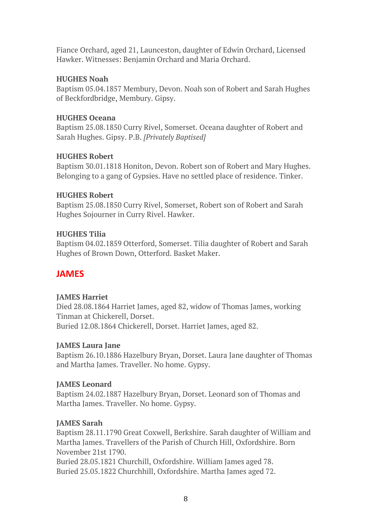Fiance Orchard, aged 21, Launceston, daughter of Edwin Orchard, Licensed Hawker. Witnesses: Benjamin Orchard and Maria Orchard.

### **HUGHES Noah**

Baptism 05.04.1857 Membury, Devon. Noah son of Robert and Sarah Hughes of Beckfordbridge, Membury. Gipsy.

### **HUGHES Oceana**

Baptism 25.08.1850 Curry Rivel, Somerset. Oceana daughter of Robert and Sarah Hughes. Gipsy. P.B. *[Privately Baptised]*

### **HUGHES Robert**

Baptism 30.01.1818 Honiton, Devon. Robert son of Robert and Mary Hughes. Belonging to a gang of Gypsies. Have no settled place of residence. Tinker.

### **HUGHES Robert**

Baptism 25.08.1850 Curry Rivel, Somerset, Robert son of Robert and Sarah Hughes Sojourner in Curry Rivel. Hawker.

### **HUGHES Tilia**

Baptism 04.02.1859 Otterford, Somerset. Tilia daughter of Robert and Sarah Hughes of Brown Down, Otterford. Basket Maker.

# **JAMES**

### **JAMES Harriet**

Died 28.08.1864 Harriet James, aged 82, widow of Thomas James, working Tinman at Chickerell, Dorset. Buried 12.08.1864 Chickerell, Dorset. Harriet James, aged 82.

### **JAMES Laura Jane**

Baptism 26.10.1886 Hazelbury Bryan, Dorset. Laura Jane daughter of Thomas and Martha James. Traveller. No home. Gypsy.

### **JAMES Leonard**

Baptism 24.02.1887 Hazelbury Bryan, Dorset. Leonard son of Thomas and Martha James. Traveller. No home. Gypsy.

### **JAMES Sarah**

Baptism 28.11.1790 Great Coxwell, Berkshire. Sarah daughter of William and Martha James. Travellers of the Parish of Church Hill, Oxfordshire. Born November 21st 1790.

Buried 28.05.1821 Churchill, Oxfordshire. William James aged 78. Buried 25.05.1822 Churchhill, Oxfordshire. Martha James aged 72.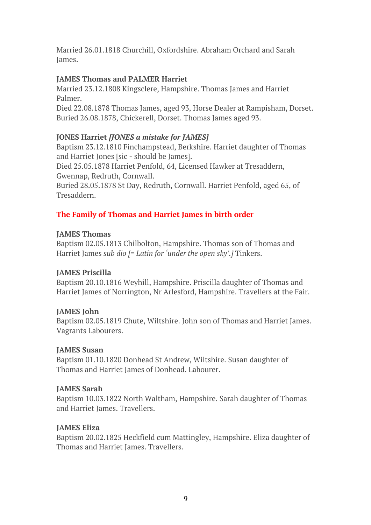Married 26.01.1818 Churchill, Oxfordshire. Abraham Orchard and Sarah James.

### **JAMES Thomas and PALMER Harriet**

Married 23.12.1808 Kingsclere, Hampshire. Thomas James and Harriet Palmer.

Died 22.08.1878 Thomas James, aged 93, Horse Dealer at Rampisham, Dorset. Buried 26.08.1878, Chickerell, Dorset. Thomas James aged 93.

### **JONES Harriet** *[JONES a mistake for JAMES]*

Baptism 23.12.1810 Finchampstead, Berkshire. Harriet daughter of Thomas and Harriet Jones [sic - should be James].

Died 25.05.1878 Harriet Penfold, 64, Licensed Hawker at Tresaddern, Gwennap, Redruth, Cornwall.

Buried 28.05.1878 St Day, Redruth, Cornwall. Harriet Penfold, aged 65, of Tresaddern.

### **The Family of Thomas and Harriet James in birth order**

### **JAMES Thomas**

Baptism 02.05.1813 Chilbolton, Hampshire. Thomas son of Thomas and Harriet James *sub dio [= Latin for 'under the open sky'.]* Tinkers.

### **JAMES Priscilla**

Baptism 20.10.1816 Weyhill, Hampshire. Priscilla daughter of Thomas and Harriet James of Norrington, Nr Arlesford, Hampshire. Travellers at the Fair.

### **JAMES John**

Baptism 02.05.1819 Chute, Wiltshire. John son of Thomas and Harriet James. Vagrants Labourers.

### **JAMES Susan**

Baptism 01.10.1820 Donhead St Andrew, Wiltshire. Susan daughter of Thomas and Harriet James of Donhead. Labourer.

### **JAMES Sarah**

Baptism 10.03.1822 North Waltham, Hampshire. Sarah daughter of Thomas and Harriet James. Travellers.

### **JAMES Eliza**

Baptism 20.02.1825 Heckfield cum Mattingley, Hampshire. Eliza daughter of Thomas and Harriet James. Travellers.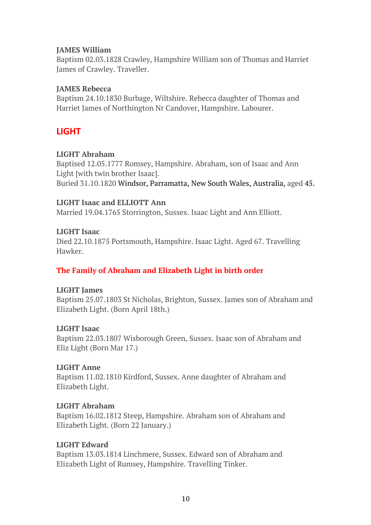### **JAMES William**

Baptism 02.03.1828 Crawley, Hampshire William son of Thomas and Harriet James of Crawley. Traveller.

### **JAMES Rebecca**

Baptism 24.10.1830 Burbage, Wiltshire. Rebecca daughter of Thomas and Harriet James of Northington Nr Candover, Hampshire. Labourer.

# **LIGHT**

### **LIGHT Abraham**

Baptised 12.05.1777 Romsey, Hampshire. Abraham, son of Isaac and Ann Light [with twin brother Isaac]. Buried 31.10.1820 Windsor, Parramatta, New South Wales, Australia, aged 45.

### **LIGHT Isaac and ELLIOTT Ann**

Married 19.04.1765 Storrington, Sussex. Isaac Light and Ann Elliott.

### **LIGHT Isaac**

Died 22.10.1875 Portsmouth, Hampshire. Isaac Light. Aged 67. Travelling Hawker.

### **The Family of Abraham and Elizabeth Light in birth order**

### **LIGHT James**

Baptism 25.07.1803 St Nicholas, Brighton, Sussex. James son of Abraham and Elizabeth Light. (Born April 18th.)

### **LIGHT Isaac**

Baptism 22.03.1807 Wisborough Green, Sussex. Isaac son of Abraham and Eliz Light (Born Mar 17.)

### **LIGHT Anne**

Baptism 11.02.1810 Kirdford, Sussex. Anne daughter of Abraham and Elizabeth Light.

### **LIGHT Abraham**

Baptism 16.02.1812 Steep, Hampshire. Abraham son of Abraham and Elizabeth Light. (Born 22 January.)

### **LIGHT Edward**

Baptism 13.03.1814 Linchmere, Sussex. Edward son of Abraham and Elizabeth Light of Rumsey, Hampshire. Travelling Tinker.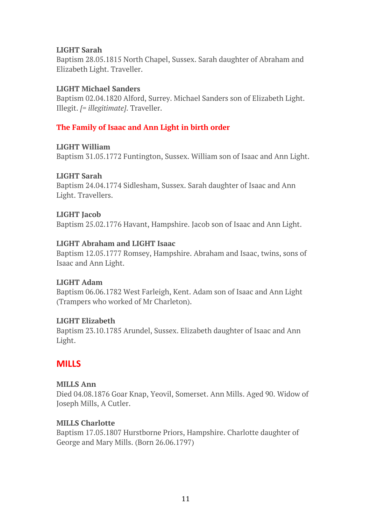### **LIGHT Sarah**

Baptism 28.05.1815 North Chapel, Sussex. Sarah daughter of Abraham and Elizabeth Light. Traveller.

### **LIGHT Michael Sanders**

Baptism 02.04.1820 Alford, Surrey. Michael Sanders son of Elizabeth Light. Illegit. *[= illegitimate]*. Traveller.

### **The Family of Isaac and Ann Light in birth order**

#### **LIGHT William**

Baptism 31.05.1772 Funtington, Sussex. William son of Isaac and Ann Light.

### **LIGHT Sarah**

Baptism 24.04.1774 Sidlesham, Sussex. Sarah daughter of Isaac and Ann Light. Travellers.

### **LIGHT Jacob**

Baptism 25.02.1776 Havant, Hampshire. Jacob son of Isaac and Ann Light.

### **LIGHT Abraham and LIGHT Isaac**

Baptism 12.05.1777 Romsey, Hampshire. Abraham and Isaac, twins, sons of Isaac and Ann Light.

### **LIGHT Adam**

Baptism 06.06.1782 West Farleigh, Kent. Adam son of Isaac and Ann Light (Trampers who worked of Mr Charleton).

### **LIGHT Elizabeth**

Baptism 23.10.1785 Arundel, Sussex. Elizabeth daughter of Isaac and Ann Light.

# **MILLS**

### **MILLS Ann**

Died 04.08.1876 Goar Knap, Yeovil, Somerset. Ann Mills. Aged 90. Widow of Joseph Mills, A Cutler.

### **MILLS Charlotte**

Baptism 17.05.1807 Hurstborne Priors, Hampshire. Charlotte daughter of George and Mary Mills. (Born 26.06.1797)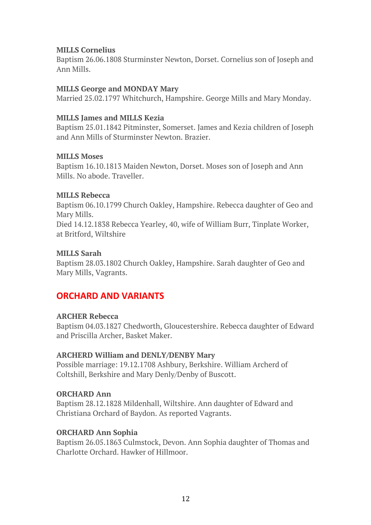#### **MILLS Cornelius**

Baptism 26.06.1808 Sturminster Newton, Dorset. Cornelius son of Joseph and Ann Mills.

#### **MILLS George and MONDAY Mary**

Married 25.02.1797 Whitchurch, Hampshire. George Mills and Mary Monday.

#### **MILLS James and MILLS Kezia**

Baptism 25.01.1842 Pitminster, Somerset. James and Kezia children of Joseph and Ann Mills of Sturminster Newton. Brazier.

#### **MILLS Moses**

Baptism 16.10.1813 Maiden Newton, Dorset. Moses son of Joseph and Ann Mills. No abode. Traveller.

#### **MILLS Rebecca**

Baptism 06.10.1799 Church Oakley, Hampshire. Rebecca daughter of Geo and Mary Mills. Died 14.12.1838 Rebecca Yearley, 40, wife of William Burr, Tinplate Worker, at Britford, Wiltshire

#### **MILLS Sarah**

Baptism 28.03.1802 Church Oakley, Hampshire. Sarah daughter of Geo and Mary Mills, Vagrants.

# **ORCHARD AND VARIANTS**

### **ARCHER Rebecca**

Baptism 04.03.1827 Chedworth, Gloucestershire. Rebecca daughter of Edward and Priscilla Archer, Basket Maker.

#### **ARCHERD William and DENLY/DENBY Mary**

Possible marriage: 19.12.1708 Ashbury, Berkshire. William Archerd of Coltshill, Berkshire and Mary Denly/Denby of Buscott.

### **ORCHARD Ann**

Baptism 28.12.1828 Mildenhall, Wiltshire. Ann daughter of Edward and Christiana Orchard of Baydon. As reported Vagrants.

### **ORCHARD Ann Sophia**

Baptism 26.05.1863 Culmstock, Devon. Ann Sophia daughter of Thomas and Charlotte Orchard. Hawker of Hillmoor.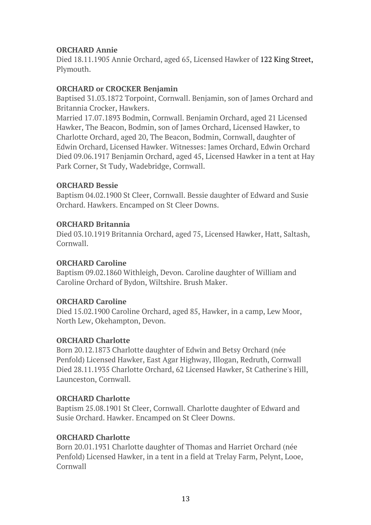### **ORCHARD Annie**

Died 18.11.1905 Annie Orchard, aged 65, Licensed Hawker of 122 King Street, Plymouth.

### **ORCHARD or CROCKER Benjamin**

Baptised 31.03.1872 Torpoint, Cornwall. Benjamin, son of James Orchard and Britannia Crocker, Hawkers.

Married 17.07.1893 Bodmin, Cornwall. Benjamin Orchard, aged 21 Licensed Hawker, The Beacon, Bodmin, son of James Orchard, Licensed Hawker, to Charlotte Orchard, aged 20, The Beacon, Bodmin, Cornwall, daughter of Edwin Orchard, Licensed Hawker. Witnesses: James Orchard, Edwin Orchard Died 09.06.1917 Benjamin Orchard, aged 45, Licensed Hawker in a tent at Hay Park Corner, St Tudy, Wadebridge, Cornwall.

### **ORCHARD Bessie**

Baptism 04.02.1900 St Cleer, Cornwall. Bessie daughter of Edward and Susie Orchard. Hawkers. Encamped on St Cleer Downs.

### **ORCHARD Britannia**

Died 03.10.1919 Britannia Orchard, aged 75, Licensed Hawker, Hatt, Saltash, Cornwall.

### **ORCHARD Caroline**

Baptism 09.02.1860 Withleigh, Devon. Caroline daughter of William and Caroline Orchard of Bydon, Wiltshire. Brush Maker.

### **ORCHARD Caroline**

Died 15.02.1900 Caroline Orchard, aged 85, Hawker, in a camp, Lew Moor, North Lew, Okehampton, Devon.

### **ORCHARD Charlotte**

Born 20.12.1873 Charlotte daughter of Edwin and Betsy Orchard (née Penfold) Licensed Hawker, East Agar Highway, Illogan, Redruth, Cornwall Died 28.11.1935 Charlotte Orchard, 62 Licensed Hawker, St Catherine's Hill, Launceston, Cornwall.

### **ORCHARD Charlotte**

Baptism 25.08.1901 St Cleer, Cornwall. Charlotte daughter of Edward and Susie Orchard. Hawker. Encamped on St Cleer Downs.

### **ORCHARD Charlotte**

Born 20.01.1931 Charlotte daughter of Thomas and Harriet Orchard (née Penfold) Licensed Hawker, in a tent in a field at Trelay Farm, Pelynt, Looe, Cornwall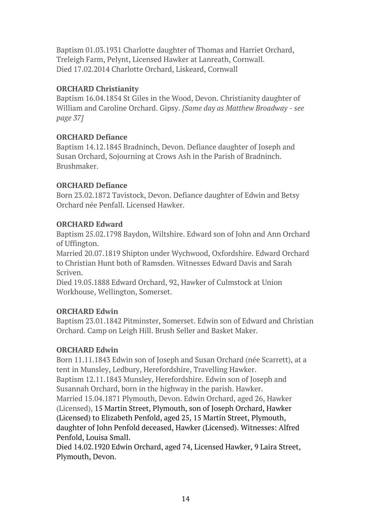Baptism 01.03.1931 Charlotte daughter of Thomas and Harriet Orchard, Treleigh Farm, Pelynt, Licensed Hawker at Lanreath, Cornwall. Died 17.02.2014 Charlotte Orchard, Liskeard, Cornwall

### **ORCHARD Christianity**

Baptism 16.04.1854 St Giles in the Wood, Devon. Christianity daughter of William and Caroline Orchard. Gipsy. *[Same day as Matthew Broadway - see page 37]*

### **ORCHARD Defiance**

Baptism 14.12.1845 Bradninch, Devon. Defiance daughter of Joseph and Susan Orchard, Sojourning at Crows Ash in the Parish of Bradninch. Brushmaker.

### **ORCHARD Defiance**

Born 23.02.1872 Tavistock, Devon. Defiance daughter of Edwin and Betsy Orchard née Penfall. Licensed Hawker.

### **ORCHARD Edward**

Baptism 25.02.1798 Baydon, Wiltshire. Edward son of John and Ann Orchard of Uffington.

Married 20.07.1819 Shipton under Wychwood, Oxfordshire. Edward Orchard to Christian Hunt both of Ramsden. Witnesses Edward Davis and Sarah Scriven.

Died 19.05.1888 Edward Orchard, 92, Hawker of Culmstock at Union Workhouse, Wellington, Somerset.

### **ORCHARD Edwin**

Baptism 23.01.1842 Pitminster, Somerset. Edwin son of Edward and Christian Orchard. Camp on Leigh Hill. Brush Seller and Basket Maker.

### **ORCHARD Edwin**

Born 11.11.1843 Edwin son of Joseph and Susan Orchard (née Scarrett), at a tent in Munsley, Ledbury, Herefordshire, Travelling Hawker. Baptism 12.11.1843 Munsley, Herefordshire. Edwin son of Joseph and Susannah Orchard, born in the highway in the parish. Hawker. Married 15.04.1871 Plymouth, Devon. Edwin Orchard, aged 26, Hawker

(Licensed), 15 Martin Street, Plymouth, son of Joseph Orchard, Hawker (Licensed) to Elizabeth Penfold, aged 25, 15 Martin Street, Plymouth, daughter of John Penfold deceased, Hawker (Licensed). Witnesses: Alfred Penfold, Louisa Small.

Died 14.02.1920 Edwin Orchard, aged 74, Licensed Hawker, 9 Laira Street, Plymouth, Devon.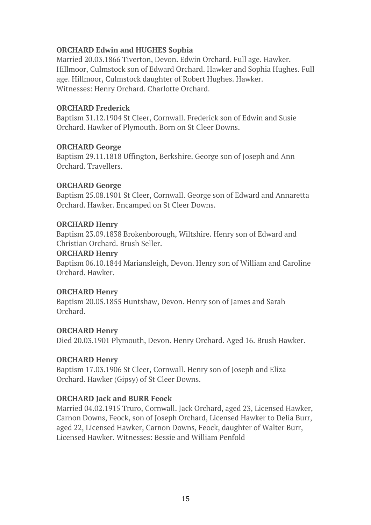### **ORCHARD Edwin and HUGHES Sophia**

Married 20.03.1866 Tiverton, Devon. Edwin Orchard. Full age. Hawker. Hillmoor, Culmstock son of Edward Orchard. Hawker and Sophia Hughes. Full age. Hillmoor, Culmstock daughter of Robert Hughes. Hawker. Witnesses: Henry Orchard. Charlotte Orchard.

### **ORCHARD Frederick**

Baptism 31.12.1904 St Cleer, Cornwall. Frederick son of Edwin and Susie Orchard. Hawker of Plymouth. Born on St Cleer Downs.

### **ORCHARD George**

Baptism 29.11.1818 Uffington, Berkshire. George son of Joseph and Ann Orchard. Travellers.

### **ORCHARD George**

Baptism 25.08.1901 St Cleer, Cornwall. George son of Edward and Annaretta Orchard. Hawker. Encamped on St Cleer Downs.

### **ORCHARD Henry**

Baptism 23.09.1838 Brokenborough, Wiltshire. Henry son of Edward and Christian Orchard. Brush Seller.

### **ORCHARD Henry**

Baptism 06.10.1844 Mariansleigh, Devon. Henry son of William and Caroline Orchard. Hawker.

### **ORCHARD Henry**

Baptism 20.05.1855 Huntshaw, Devon. Henry son of James and Sarah Orchard.

### **ORCHARD Henry**

Died 20.03.1901 Plymouth, Devon. Henry Orchard. Aged 16. Brush Hawker.

### **ORCHARD Henry**

Baptism 17.03.1906 St Cleer, Cornwall. Henry son of Joseph and Eliza Orchard. Hawker (Gipsy) of St Cleer Downs.

### **ORCHARD Jack and BURR Feock**

Married 04.02.1915 Truro, Cornwall. Jack Orchard, aged 23, Licensed Hawker, Carnon Downs, Feock, son of Joseph Orchard, Licensed Hawker to Delia Burr, aged 22, Licensed Hawker, Carnon Downs, Feock, daughter of Walter Burr, Licensed Hawker. Witnesses: Bessie and William Penfold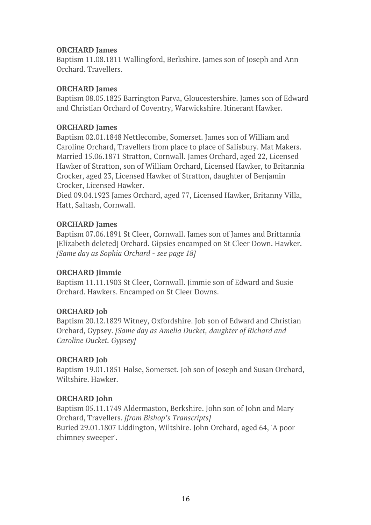#### **ORCHARD James**

Baptism 11.08.1811 Wallingford, Berkshire. James son of Joseph and Ann Orchard. Travellers.

#### **ORCHARD James**

Baptism 08.05.1825 Barrington Parva, Gloucestershire. James son of Edward and Christian Orchard of Coventry, Warwickshire. Itinerant Hawker.

#### **ORCHARD James**

Baptism 02.01.1848 Nettlecombe, Somerset. James son of William and Caroline Orchard, Travellers from place to place of Salisbury. Mat Makers. Married 15.06.1871 Stratton, Cornwall. James Orchard, aged 22, Licensed Hawker of Stratton, son of William Orchard, Licensed Hawker, to Britannia Crocker, aged 23, Licensed Hawker of Stratton, daughter of Benjamin Crocker, Licensed Hawker.

Died 09.04.1923 James Orchard, aged 77, Licensed Hawker, Britanny Villa, Hatt, Saltash, Cornwall.

#### **ORCHARD James**

Baptism 07.06.1891 St Cleer, Cornwall. James son of James and Brittannia [Elizabeth deleted] Orchard. Gipsies encamped on St Cleer Down. Hawker. *[Same day as Sophia Orchard - see page 18]*

#### **ORCHARD Jimmie**

Baptism 11.11.1903 St Cleer, Cornwall. Jimmie son of Edward and Susie Orchard. Hawkers. Encamped on St Cleer Downs.

#### **ORCHARD Job**

Baptism 20.12.1829 Witney, Oxfordshire. Job son of Edward and Christian Orchard, Gypsey. *[Same day as Amelia Ducket, daughter of Richard and Caroline Ducket. Gypsey]*

### **ORCHARD Job**

Baptism 19.01.1851 Halse, Somerset. Job son of Joseph and Susan Orchard, Wiltshire. Hawker.

### **ORCHARD John**

Baptism 05.11.1749 Aldermaston, Berkshire. John son of John and Mary Orchard, Travellers. *[from Bishop's Transcripts]* Buried 29.01.1807 Liddington, Wiltshire. John Orchard, aged 64, 'A poor chimney sweeper'.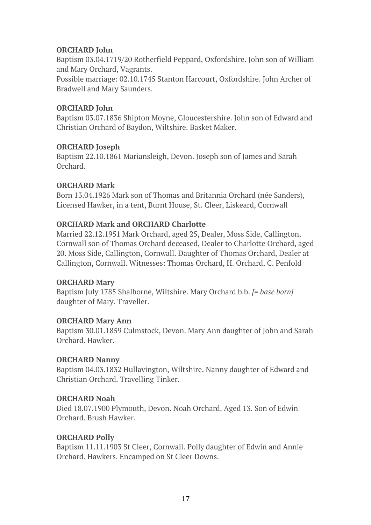### **ORCHARD John**

Baptism 03.04.1719/20 Rotherfield Peppard, Oxfordshire. John son of William and Mary Orchard, Vagrants.

Possible marriage: 02.10.1745 Stanton Harcourt, Oxfordshire. John Archer of Bradwell and Mary Saunders.

### **ORCHARD John**

Baptism 03.07.1836 Shipton Moyne, Gloucestershire. John son of Edward and Christian Orchard of Baydon, Wiltshire. Basket Maker.

### **ORCHARD Joseph**

Baptism 22.10.1861 Mariansleigh, Devon. Joseph son of James and Sarah Orchard.

### **ORCHARD Mark**

Born 13.04.1926 Mark son of Thomas and Britannia Orchard (née Sanders), Licensed Hawker, in a tent, Burnt House, St. Cleer, Liskeard, Cornwall

### **ORCHARD Mark and ORCHARD Charlotte**

Married 22.12.1951 Mark Orchard, aged 25, Dealer, Moss Side, Callington, Cornwall son of Thomas Orchard deceased, Dealer to Charlotte Orchard, aged 20. Moss Side, Callington, Cornwall. Daughter of Thomas Orchard, Dealer at Callington, Cornwall. Witnesses: Thomas Orchard, H. Orchard, C. Penfold

### **ORCHARD Mary**

Baptism July 1785 Shalborne, Wiltshire. Mary Orchard b.b. *[= base born]* daughter of Mary. Traveller.

### **ORCHARD Mary Ann**

Baptism 30.01.1859 Culmstock, Devon. Mary Ann daughter of John and Sarah Orchard. Hawker.

### **ORCHARD Nanny**

Baptism 04.03.1832 Hullavington, Wiltshire. Nanny daughter of Edward and Christian Orchard. Travelling Tinker.

### **ORCHARD Noah**

Died 18.07.1900 Plymouth, Devon. Noah Orchard. Aged 13. Son of Edwin Orchard. Brush Hawker.

### **ORCHARD Polly**

Baptism 11.11.1903 St Cleer, Cornwall. Polly daughter of Edwin and Annie Orchard. Hawkers. Encamped on St Cleer Downs.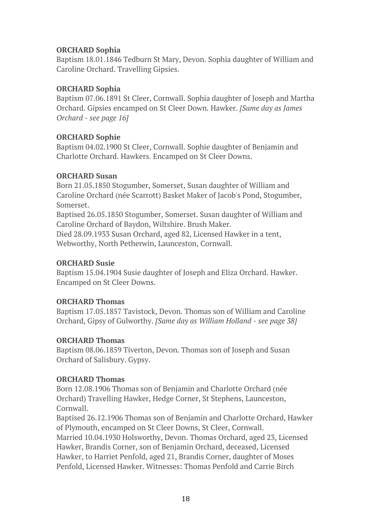### **ORCHARD Sophia**

Baptism 18.01.1846 Tedburn St Mary, Devon. Sophia daughter of William and Caroline Orchard. Travelling Gipsies.

### **ORCHARD Sophia**

Baptism 07.06.1891 St Cleer, Cornwall. Sophia daughter of Joseph and Martha Orchard. Gipsies encamped on St Cleer Down. Hawker. *[Same day as James Orchard - see page 16]*

### **ORCHARD Sophie**

Baptism 04.02.1900 St Cleer, Cornwall. Sophie daughter of Benjamin and Charlotte Orchard. Hawkers. Encamped on St Cleer Downs.

### **ORCHARD Susan**

Born 21.05.1850 Stogumber, Somerset, Susan daughter of William and Caroline Orchard (née Scarrott) Basket Maker of Jacob's Pond, Stogumber, Somerset.

Baptised 26.05.1850 Stogumber, Somerset. Susan daughter of William and Caroline Orchard of Baydon, Wiltshire. Brush Maker.

Died 28.09.1933 Susan Orchard, aged 82, Licensed Hawker in a tent, Webworthy, North Petherwin, Launceston, Cornwall.

### **ORCHARD Susie**

Baptism 15.04.1904 Susie daughter of Joseph and Eliza Orchard. Hawker. Encamped on St Cleer Downs.

### **ORCHARD Thomas**

Baptism 17.05.1857 Tavistock, Devon. Thomas son of William and Caroline Orchard, Gipsy of Gulworthy. *[Same day as William Holland - see page 38]*

### **ORCHARD Thomas**

Baptism 08.06.1859 Tiverton, Devon. Thomas son of Joseph and Susan Orchard of Salisbury. Gypsy.

### **ORCHARD Thomas**

Born 12.08.1906 Thomas son of Benjamin and Charlotte Orchard (née Orchard) Travelling Hawker, Hedge Corner, St Stephens, Launceston, Cornwall.

Baptised 26.12.1906 Thomas son of Benjamin and Charlotte Orchard, Hawker of Plymouth, encamped on St Cleer Downs, St Cleer, Cornwall.

Married 10.04.1930 Holsworthy, Devon. Thomas Orchard, aged 23, Licensed Hawker, Brandis Corner, son of Benjamin Orchard, deceased, Licensed Hawker, to Harriet Penfold, aged 21, Brandis Corner, daughter of Moses Penfold, Licensed Hawker. Witnesses: Thomas Penfold and Carrie Birch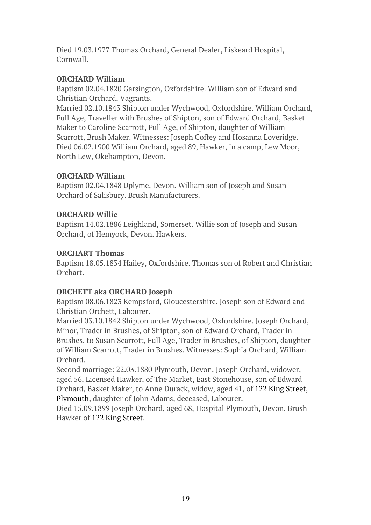Died 19.03.1977 Thomas Orchard, General Dealer, Liskeard Hospital, Cornwall.

### **ORCHARD William**

Baptism 02.04.1820 Garsington, Oxfordshire. William son of Edward and Christian Orchard, Vagrants.

Married 02.10.1843 Shipton under Wychwood, Oxfordshire. William Orchard, Full Age, Traveller with Brushes of Shipton, son of Edward Orchard, Basket Maker to Caroline Scarrott, Full Age, of Shipton, daughter of William Scarrott, Brush Maker. Witnesses: Joseph Coffey and Hosanna Loveridge. Died 06.02.1900 William Orchard, aged 89, Hawker, in a camp, Lew Moor, North Lew, Okehampton, Devon.

### **ORCHARD William**

Baptism 02.04.1848 Uplyme, Devon. William son of Joseph and Susan Orchard of Salisbury. Brush Manufacturers.

# **ORCHARD Willie**

Baptism 14.02.1886 Leighland, Somerset. Willie son of Joseph and Susan Orchard, of Hemyock, Devon. Hawkers.

### **ORCHART Thomas**

Baptism 18.05.1834 Hailey, Oxfordshire. Thomas son of Robert and Christian Orchart.

# **ORCHETT aka ORCHARD Joseph**

Baptism 08.06.1823 Kempsford, Gloucestershire. Joseph son of Edward and Christian Orchett, Labourer.

Married 03.10.1842 Shipton under Wychwood, Oxfordshire. Joseph Orchard, Minor, Trader in Brushes, of Shipton, son of Edward Orchard, Trader in Brushes, to Susan Scarrott, Full Age, Trader in Brushes, of Shipton, daughter of William Scarrott, Trader in Brushes. Witnesses: Sophia Orchard, William Orchard.

Second marriage: 22.03.1880 Plymouth, Devon. Joseph Orchard, widower, aged 56, Licensed Hawker, of The Market, East Stonehouse, son of Edward Orchard, Basket Maker, to Anne Durack, widow, aged 41, of 122 King Street, Plymouth, daughter of John Adams, deceased, Labourer.

Died 15.09.1899 Joseph Orchard, aged 68, Hospital Plymouth, Devon. Brush Hawker of 122 King Street.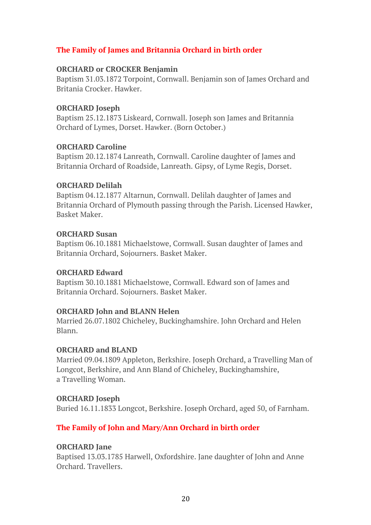### **The Family of James and Britannia Orchard in birth order**

#### **ORCHARD or CROCKER Benjamin**

Baptism 31.03.1872 Torpoint, Cornwall. Benjamin son of James Orchard and Britania Crocker. Hawker.

#### **ORCHARD Joseph**

Baptism 25.12.1873 Liskeard, Cornwall. Joseph son James and Britannia Orchard of Lymes, Dorset. Hawker. (Born October.)

#### **ORCHARD Caroline**

Baptism 20.12.1874 Lanreath, Cornwall. Caroline daughter of James and Britannia Orchard of Roadside, Lanreath. Gipsy, of Lyme Regis, Dorset.

#### **ORCHARD Delilah**

Baptism 04.12.1877 Altarnun, Cornwall. Delilah daughter of James and Britannia Orchard of Plymouth passing through the Parish. Licensed Hawker, Basket Maker.

#### **ORCHARD Susan**

Baptism 06.10.1881 Michaelstowe, Cornwall. Susan daughter of James and Britannia Orchard, Sojourners. Basket Maker.

### **ORCHARD Edward**

Baptism 30.10.1881 Michaelstowe, Cornwall. Edward son of James and Britannia Orchard. Sojourners. Basket Maker.

### **ORCHARD John and BLANN Helen**

Married 26.07.1802 Chicheley, Buckinghamshire. John Orchard and Helen Blann.

#### **ORCHARD and BLAND**

Married 09.04.1809 Appleton, Berkshire. Joseph Orchard, a Travelling Man of Longcot, Berkshire, and Ann Bland of Chicheley, Buckinghamshire, a Travelling Woman.

### **ORCHARD Joseph**

Buried 16.11.1833 Longcot, Berkshire. Joseph Orchard, aged 50, of Farnham.

### **The Family of John and Mary/Ann Orchard in birth order**

### **ORCHARD Jane**

Baptised 13.03.1785 Harwell, Oxfordshire. Jane daughter of John and Anne Orchard. Travellers.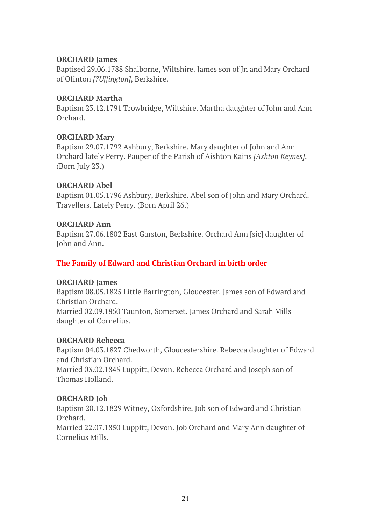#### **ORCHARD James**

Baptised 29.06.1788 Shalborne, Wiltshire. James son of Jn and Mary Orchard of Ofinton *[?Uffington]*, Berkshire.

#### **ORCHARD Martha**

Baptism 23.12.1791 Trowbridge, Wiltshire. Martha daughter of John and Ann Orchard.

#### **ORCHARD Mary**

Baptism 29.07.1792 Ashbury, Berkshire. Mary daughter of John and Ann Orchard lately Perry. Pauper of the Parish of Aishton Kains *[Ashton Keynes]*. (Born July 23.)

#### **ORCHARD Abel**

Baptism 01.05.1796 Ashbury, Berkshire. Abel son of John and Mary Orchard. Travellers. Lately Perry. (Born April 26.)

#### **ORCHARD Ann**

Baptism 27.06.1802 East Garston, Berkshire. Orchard Ann [sic] daughter of John and Ann.

### **The Family of Edward and Christian Orchard in birth order**

#### **ORCHARD James**

Baptism 08.05.1825 Little Barrington, Gloucester. James son of Edward and Christian Orchard. Married 02.09.1850 Taunton, Somerset. James Orchard and Sarah Mills daughter of Cornelius.

#### **ORCHARD Rebecca**

Baptism 04.03.1827 Chedworth, Gloucestershire. Rebecca daughter of Edward and Christian Orchard. Married 03.02.1845 Luppitt, Devon. Rebecca Orchard and Joseph son of Thomas Holland.

### **ORCHARD Job**

Baptism 20.12.1829 Witney, Oxfordshire. Job son of Edward and Christian Orchard. Married 22.07.1850 Luppitt, Devon. Job Orchard and Mary Ann daughter of

Cornelius Mills.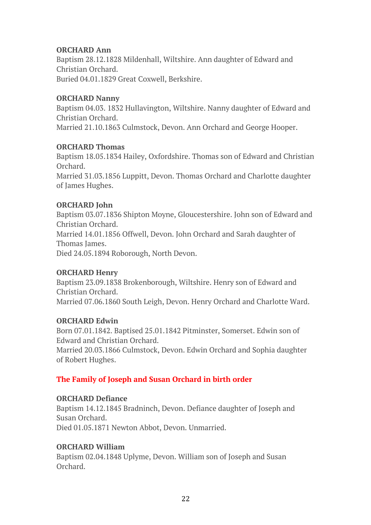### **ORCHARD Ann**

Baptism 28.12.1828 Mildenhall, Wiltshire. Ann daughter of Edward and Christian Orchard. Buried 04.01.1829 Great Coxwell, Berkshire.

#### **ORCHARD Nanny**

Baptism 04.03. 1832 Hullavington, Wiltshire. Nanny daughter of Edward and Christian Orchard. Married 21.10.1863 Culmstock, Devon. Ann Orchard and George Hooper.

#### **ORCHARD Thomas**

Baptism 18.05.1834 Hailey, Oxfordshire. Thomas son of Edward and Christian Orchard.

Married 31.03.1856 Luppitt, Devon. Thomas Orchard and Charlotte daughter of James Hughes.

### **ORCHARD John**

Baptism 03.07.1836 Shipton Moyne, Gloucestershire. John son of Edward and Christian Orchard. Married 14.01.1856 Offwell, Devon. John Orchard and Sarah daughter of Thomas James.

Died 24.05.1894 Roborough, North Devon.

### **ORCHARD Henry**

Baptism 23.09.1838 Brokenborough, Wiltshire. Henry son of Edward and Christian Orchard. Married 07.06.1860 South Leigh, Devon. Henry Orchard and Charlotte Ward.

### **ORCHARD Edwin**

Born 07.01.1842. Baptised 25.01.1842 Pitminster, Somerset. Edwin son of Edward and Christian Orchard.

Married 20.03.1866 Culmstock, Devon. Edwin Orchard and Sophia daughter of Robert Hughes.

### **The Family of Joseph and Susan Orchard in birth order**

### **ORCHARD Defiance**

Baptism 14.12.1845 Bradninch, Devon. Defiance daughter of Joseph and Susan Orchard. Died 01.05.1871 Newton Abbot, Devon. Unmarried.

### **ORCHARD William**

Baptism 02.04.1848 Uplyme, Devon. William son of Joseph and Susan Orchard.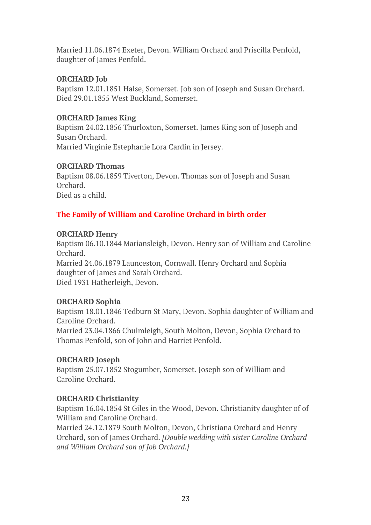Married 11.06.1874 Exeter, Devon. William Orchard and Priscilla Penfold, daughter of James Penfold.

### **ORCHARD Job**

Baptism 12.01.1851 Halse, Somerset. Job son of Joseph and Susan Orchard. Died 29.01.1855 West Buckland, Somerset.

### **ORCHARD James King**

Baptism 24.02.1856 Thurloxton, Somerset. James King son of Joseph and Susan Orchard. Married Virginie Estephanie Lora Cardin in Jersey.

**ORCHARD Thomas**

Baptism 08.06.1859 Tiverton, Devon. Thomas son of Joseph and Susan Orchard. Died as a child.

### **The Family of William and Caroline Orchard in birth order**

### **ORCHARD Henry**

Baptism 06.10.1844 Mariansleigh, Devon. Henry son of William and Caroline Orchard. Married 24.06.1879 Launceston, Cornwall. Henry Orchard and Sophia daughter of James and Sarah Orchard. Died 1931 Hatherleigh, Devon.

### **ORCHARD Sophia**

Baptism 18.01.1846 Tedburn St Mary, Devon. Sophia daughter of William and Caroline Orchard. Married 23.04.1866 Chulmleigh, South Molton, Devon, Sophia Orchard to Thomas Penfold, son of John and Harriet Penfold.

### **ORCHARD Joseph**

Baptism 25.07.1852 Stogumber, Somerset. Joseph son of William and Caroline Orchard.

### **ORCHARD Christianity**

Baptism 16.04.1854 St Giles in the Wood, Devon. Christianity daughter of of William and Caroline Orchard.

Married 24.12.1879 South Molton, Devon, Christiana Orchard and Henry Orchard, son of James Orchard. *[Double wedding with sister Caroline Orchard and William Orchard son of Job Orchard.]*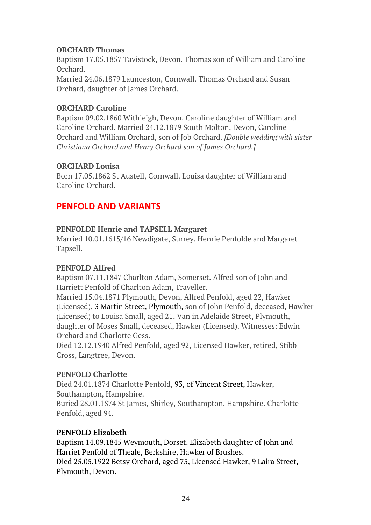### **ORCHARD Thomas**

Baptism 17.05.1857 Tavistock, Devon. Thomas son of William and Caroline Orchard. Married 24.06.1879 Launceston, Cornwall. Thomas Orchard and Susan Orchard, daughter of James Orchard.

### **ORCHARD Caroline**

Baptism 09.02.1860 Withleigh, Devon. Caroline daughter of William and Caroline Orchard. Married 24.12.1879 South Molton, Devon, Caroline Orchard and William Orchard, son of Job Orchard. *[Double wedding with sister Christiana Orchard and Henry Orchard son of James Orchard.]*

### **ORCHARD Louisa**

Born 17.05.1862 St Austell, Cornwall. Louisa daughter of William and Caroline Orchard.

# **PENFOLD AND VARIANTS**

### **PENFOLDE Henrie and TAPSELL Margaret**

Married 10.01.1615/16 Newdigate, Surrey. Henrie Penfolde and Margaret Tapsell.

### **PENFOLD Alfred**

Baptism 07.11.1847 Charlton Adam, Somerset. Alfred son of John and Harriett Penfold of Charlton Adam, Traveller.

Married 15.04.1871 Plymouth, Devon, Alfred Penfold, aged 22, Hawker (Licensed), 3 Martin Street, Plymouth, son of John Penfold, deceased, Hawker (Licensed) to Louisa Small, aged 21, Van in Adelaide Street, Plymouth, daughter of Moses Small, deceased, Hawker (Licensed). Witnesses: Edwin Orchard and Charlotte Gess.

Died 12.12.1940 Alfred Penfold, aged 92, Licensed Hawker, retired, Stibb Cross, Langtree, Devon.

### **PENFOLD Charlotte**

Died 24.01.1874 Charlotte Penfold, 93, of Vincent Street, Hawker, Southampton, Hampshire.

Buried 28.01.1874 St James, Shirley, Southampton, Hampshire. Charlotte Penfold, aged 94.

### **PENFOLD Elizabeth**

Baptism 14.09.1845 Weymouth, Dorset. Elizabeth daughter of John and Harriet Penfold of Theale, Berkshire, Hawker of Brushes. Died 25.05.1922 Betsy Orchard, aged 75, Licensed Hawker, 9 Laira Street, Plymouth, Devon.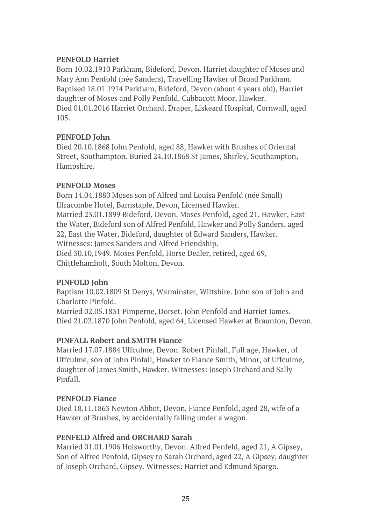### **PENFOLD Harriet**

Born 10.02.1910 Parkham, Bideford, Devon. Harriet daughter of Moses and Mary Ann Penfold (née Sanders), Travelling Hawker of Broad Parkham. Baptised 18.01.1914 Parkham, Bideford, Devon (about 4 years old), Harriet daughter of Moses and Polly Penfold, Cabbacott Moor, Hawker. Died 01.01.2016 Harriet Orchard, Draper, Liskeard Hospital, Cornwall, aged 105.

### **PENFOLD John**

Died 20.10.1868 John Penfold, aged 88, Hawker with Brushes of Oriental Street, Southampton. Buried 24.10.1868 St James, Shirley, Southampton, Hampshire.

### **PENFOLD Moses**

Born 14.04.1880 Moses son of Alfred and Louisa Penfold (née Small) Ilfracombe Hotel, Barnstaple, Devon, Licensed Hawker. Married 23.01.1899 Bideford, Devon. Moses Penfold, aged 21, Hawker, East the Water, Bideford son of Alfred Penfold, Hawker and Polly Sanders, aged 22, East the Water, Bideford, daughter of Edward Sanders, Hawker. Witnesses: James Sanders and Alfred Friendship. Died 30.10,1949. Moses Penfold, Horse Dealer, retired, aged 69, Chittlehamholt, South Molton, Devon.

### **PINFOLD John**

Baptism 10.02.1809 St Denys, Warminster, Wiltshire. John son of John and Charlotte Pinfold.

Married 02.05.1831 Pimperne, Dorset. John Penfold and Harriet James. Died 21.02.1870 John Penfold, aged 64, Licensed Hawker at Braunton, Devon.

### **PINFALL Robert and SMITH Fiance**

Married 17.07.1884 Uffculme, Devon. Robert Pinfall, Full age, Hawker, of Uffculme, son of John Pinfall, Hawker to Fiance Smith, Minor, of Uffculme, daughter of James Smith, Hawker. Witnesses: Joseph Orchard and Sally Pinfall.

### **PENFOLD Fiance**

Died 18.11.1863 Newton Abbot, Devon. Fiance Penfold, aged 28, wife of a Hawker of Brushes, by accidentally falling under a wagon.

### **PENFELD Alfred and ORCHARD Sarah**

Married 01.01.1906 Holsworthy, Devon. Alfred Penfeld, aged 21, A Gipsey, Son of Alfred Penfold, Gipsey to Sarah Orchard, aged 22, A Gipsey, daughter of Joseph Orchard, Gipsey. Witnesses: Harriet and Edmund Spargo.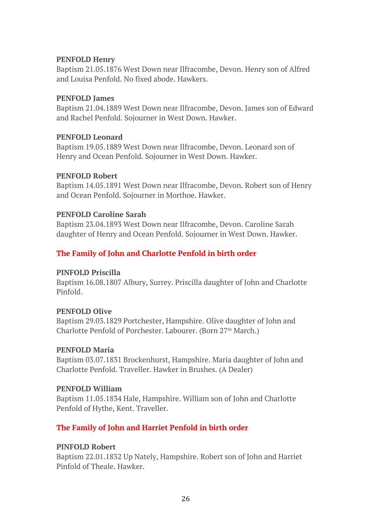### **PENFOLD Henry**

Baptism 21.05.1876 West Down near Ilfracombe, Devon. Henry son of Alfred and Louisa Penfold. No fixed abode. Hawkers.

#### **PENFOLD James**

Baptism 21.04.1889 West Down near Ilfracombe, Devon. James son of Edward and Rachel Penfold. Sojourner in West Down. Hawker.

### **PENFOLD Leonard**

Baptism 19.05.1889 West Down near Ilfracombe, Devon. Leonard son of Henry and Ocean Penfold. Sojourner in West Down. Hawker.

#### **PENFOLD Robert**

Baptism 14.05.1891 West Down near Ilfracombe, Devon. Robert son of Henry and Ocean Penfold. Sojourner in Morthoe. Hawker.

#### **PENFOLD Caroline Sarah**

Baptism 23.04.1893 West Down near Ilfracombe, Devon. Caroline Sarah daughter of Henry and Ocean Penfold. Sojourner in West Down. Hawker.

### **The Family of John and Charlotte Penfold in birth order**

### **PINFOLD Priscilla**

Baptism 16.08.1807 Albury, Surrey. Priscilla daughter of John and Charlotte Pinfold.

### **PENFOLD Olive**

Baptism 29.03.1829 Portchester, Hampshire. Olive daughter of John and Charlotte Penfold of Porchester. Labourer. (Born 27<sup>th</sup> March.)

#### **PENFOLD Maria**

Baptism 03.07.1831 Brockenhurst, Hampshire. Maria daughter of John and Charlotte Penfold. Traveller. Hawker in Brushes. (A Dealer)

#### **PENFOLD William**

Baptism 11.05.1834 Hale, Hampshire. William son of John and Charlotte Penfold of Hythe, Kent. Traveller.

### **The Family of John and Harriet Penfold in birth order**

### **PINFOLD Robert**

Baptism 22.01.1832 Up Nately, Hampshire. Robert son of John and Harriet Pinfold of Theale. Hawker.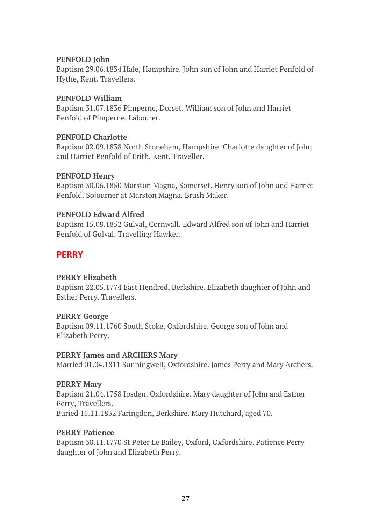### **PENFOLD John**

Baptism 29.06.1834 Hale, Hampshire. John son of John and Harriet Penfold of Hythe, Kent. Travellers.

### **PENFOLD William**

Baptism 31.07.1836 Pimperne, Dorset. William son of John and Harriet Penfold of Pimperne. Labourer.

### **PENFOLD Charlotte**

Baptism 02.09.1838 North Stoneham, Hampshire. Charlotte daughter of John and Harriet Penfold of Erith, Kent. Traveller.

### **PENFOLD Henry**

Baptism 30.06.1850 Marston Magna, Somerset. Henry son of John and Harriet Penfold. Sojourner at Marston Magna. Brush Maker.

### **PENFOLD Edward Alfred**

Baptism 15.08.1852 Gulval, Cornwall. Edward Alfred son of John and Harriet Penfold of Gulval. Travelling Hawker.

# **PERRY**

### **PERRY Elizabeth**

Baptism 22.05.1774 East Hendred, Berkshire. Elizabeth daughter of John and Esther Perry. Travellers.

### **PERRY George**

Baptism 09.11.1760 South Stoke, Oxfordshire. George son of John and Elizabeth Perry.

### **PERRY James and ARCHERS Mary**

Married 01.04.1811 Sunningwell, Oxfordshire. James Perry and Mary Archers.

### **PERRY Mary**

Baptism 21.04.1758 Ipsden, Oxfordshire. Mary daughter of John and Esther Perry, Travellers. Buried 15.11.1832 Faringdon, Berkshire. Mary Hutchard, aged 70.

### **PERRY Patience**

Baptism 30.11.1770 St Peter Le Bailey, Oxford, Oxfordshire. Patience Perry daughter of John and Elizabeth Perry.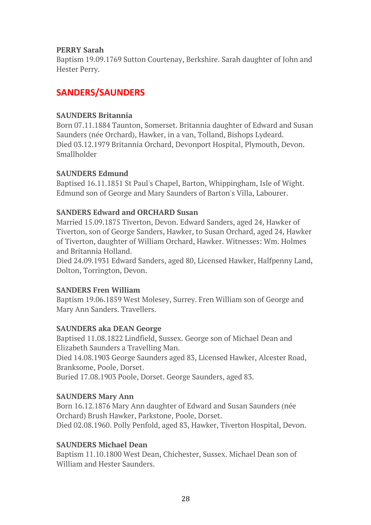#### **PERRY Sarah**

Baptism 19.09.1769 Sutton Courtenay, Berkshire. Sarah daughter of John and Hester Perry.

# **SANDERS/SAUNDERS**

### **SAUNDERS Britannia**

Born 07.11.1884 Taunton, Somerset. Britannia daughter of Edward and Susan Saunders (née Orchard), Hawker, in a van, Tolland, Bishops Lydeard. Died 03.12.1979 Britannia Orchard, Devonport Hospital, Plymouth, Devon. Smallholder

### **SAUNDERS Edmund**

Baptised 16.11.1851 St Paul's Chapel, Barton, Whippingham, Isle of Wight. Edmund son of George and Mary Saunders of Barton's Villa, Labourer.

### **SANDERS Edward and ORCHARD Susan**

Married 15.09.1875 Tiverton, Devon. Edward Sanders, aged 24, Hawker of Tiverton, son of George Sanders, Hawker, to Susan Orchard, aged 24, Hawker of Tiverton, daughter of William Orchard, Hawker. Witnesses: Wm. Holmes and Britannia Holland.

Died 24.09.1931 Edward Sanders, aged 80, Licensed Hawker, Halfpenny Land, Dolton, Torrington, Devon.

### **SANDERS Fren William**

Baptism 19.06.1859 West Molesey, Surrey. Fren William son of George and Mary Ann Sanders. Travellers.

### **SAUNDERS aka DEAN George**

Baptised 11.08.1822 Lindfield, Sussex. George son of Michael Dean and Elizabeth Saunders a Travelling Man.

Died 14.08.1903 George Saunders aged 83, Licensed Hawker, Alcester Road, Branksome, Poole, Dorset.

Buried 17.08.1903 Poole, Dorset. George Saunders, aged 83.

### **SAUNDERS Mary Ann**

Born 16.12.1876 Mary Ann daughter of Edward and Susan Saunders (née Orchard) Brush Hawker, Parkstone, Poole, Dorset.

Died 02.08.1960. Polly Penfold, aged 83, Hawker, Tiverton Hospital, Devon.

### **SAUNDERS Michael Dean**

Baptism 11.10.1800 West Dean, Chichester, Sussex. Michael Dean son of William and Hester Saunders.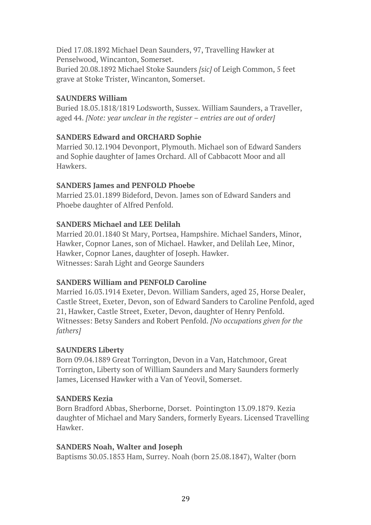Died 17.08.1892 Michael Dean Saunders, 97, Travelling Hawker at Penselwood, Wincanton, Somerset. Buried 20.08.1892 Michael Stoke Saunders *[sic]* of Leigh Common, 5 feet grave at Stoke Trister, Wincanton, Somerset.

### **SAUNDERS William**

Buried 18.05.1818/1819 Lodsworth, Sussex. William Saunders, a Traveller, aged 44. *[Note: year unclear in the register – entries are out of order]*

### **SANDERS Edward and ORCHARD Sophie**

Married 30.12.1904 Devonport, Plymouth. Michael son of Edward Sanders and Sophie daughter of James Orchard. All of Cabbacott Moor and all Hawkers.

### **SANDERS James and PENFOLD Phoebe**

Married 23.01.1899 Bideford, Devon. James son of Edward Sanders and Phoebe daughter of Alfred Penfold.

### **SANDERS Michael and LEE Delilah**

Married 20.01.1840 St Mary, Portsea, Hampshire. Michael Sanders, Minor, Hawker, Copnor Lanes, son of Michael. Hawker, and Delilah Lee, Minor, Hawker, Copnor Lanes, daughter of Joseph. Hawker. Witnesses: Sarah Light and George Saunders

### **SANDERS William and PENFOLD Caroline**

Married 16.03.1914 Exeter, Devon. William Sanders, aged 25, Horse Dealer, Castle Street, Exeter, Devon, son of Edward Sanders to Caroline Penfold, aged 21, Hawker, Castle Street, Exeter, Devon, daughter of Henry Penfold. Witnesses: Betsy Sanders and Robert Penfold. *[No occupations given for the fathers]*

### **SAUNDERS Liberty**

Born 09.04.1889 Great Torrington, Devon in a Van, Hatchmoor, Great Torrington, Liberty son of William Saunders and Mary Saunders formerly James, Licensed Hawker with a Van of Yeovil, Somerset.

### **SANDERS Kezia**

Born Bradford Abbas, Sherborne, Dorset. Pointington 13.09.1879. Kezia daughter of Michael and Mary Sanders, formerly Eyears. Licensed Travelling Hawker.

### **SANDERS Noah, Walter and Joseph**

Baptisms 30.05.1853 Ham, Surrey. Noah (born 25.08.1847), Walter (born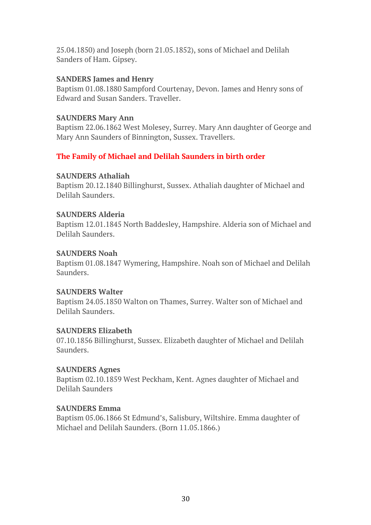25.04.1850) and Joseph (born 21.05.1852), sons of Michael and Delilah Sanders of Ham. Gipsey.

#### **SANDERS James and Henry**

Baptism 01.08.1880 Sampford Courtenay, Devon. James and Henry sons of Edward and Susan Sanders. Traveller.

#### **SAUNDERS Mary Ann**

Baptism 22.06.1862 West Molesey, Surrey. Mary Ann daughter of George and Mary Ann Saunders of Binnington, Sussex. Travellers.

### **The Family of Michael and Delilah Saunders in birth order**

### **SAUNDERS Athaliah**

Baptism 20.12.1840 Billinghurst, Sussex. Athaliah daughter of Michael and Delilah Saunders.

#### **SAUNDERS Alderia**

Baptism 12.01.1845 North Baddesley, Hampshire. Alderia son of Michael and Delilah Saunders.

#### **SAUNDERS Noah**

Baptism 01.08.1847 Wymering, Hampshire. Noah son of Michael and Delilah Saunders.

### **SAUNDERS Walter**

Baptism 24.05.1850 Walton on Thames, Surrey. Walter son of Michael and Delilah Saunders.

### **SAUNDERS Elizabeth**

07.10.1856 Billinghurst, Sussex. Elizabeth daughter of Michael and Delilah Saunders.

### **SAUNDERS Agnes**

Baptism 02.10.1859 West Peckham, Kent. Agnes daughter of Michael and Delilah Saunders

### **SAUNDERS Emma**

Baptism 05.06.1866 St Edmund's, Salisbury, Wiltshire. Emma daughter of Michael and Delilah Saunders. (Born 11.05.1866.)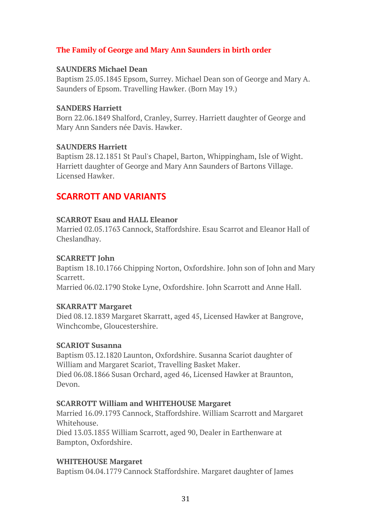### **The Family of George and Mary Ann Saunders in birth order**

#### **SAUNDERS Michael Dean**

Baptism 25.05.1845 Epsom, Surrey. Michael Dean son of George and Mary A. Saunders of Epsom. Travelling Hawker. (Born May 19.)

#### **SANDERS Harriett**

Born 22.06.1849 Shalford, Cranley, Surrey. Harriett daughter of George and Mary Ann Sanders née Davis. Hawker.

#### **SAUNDERS Harriett**

Baptism 28.12.1851 St Paul's Chapel, Barton, Whippingham, Isle of Wight. Harriett daughter of George and Mary Ann Saunders of Bartons Village. Licensed Hawker.

# **SCARROTT AND VARIANTS**

### **SCARROT Esau and HALL Eleanor**

Married 02.05.1763 Cannock, Staffordshire. Esau Scarrot and Eleanor Hall of Cheslandhay.

### **SCARRETT John**

Baptism 18.10.1766 Chipping Norton, Oxfordshire. John son of John and Mary Scarrett.

Married 06.02.1790 Stoke Lyne, Oxfordshire. John Scarrott and Anne Hall.

### **SKARRATT Margaret**

Died 08.12.1839 Margaret Skarratt, aged 45, Licensed Hawker at Bangrove, Winchcombe, Gloucestershire.

### **SCARIOT Susanna**

Baptism 03.12.1820 Launton, Oxfordshire. Susanna Scariot daughter of William and Margaret Scariot, Travelling Basket Maker. Died 06.08.1866 Susan Orchard, aged 46, Licensed Hawker at Braunton, Devon.

### **SCARROTT William and WHITEHOUSE Margaret**

Married 16.09.1793 Cannock, Staffordshire. William Scarrott and Margaret Whitehouse.

Died 13.03.1855 William Scarrott, aged 90, Dealer in Earthenware at Bampton, Oxfordshire.

### **WHITEHOUSE Margaret**

Baptism 04.04.1779 Cannock Staffordshire. Margaret daughter of James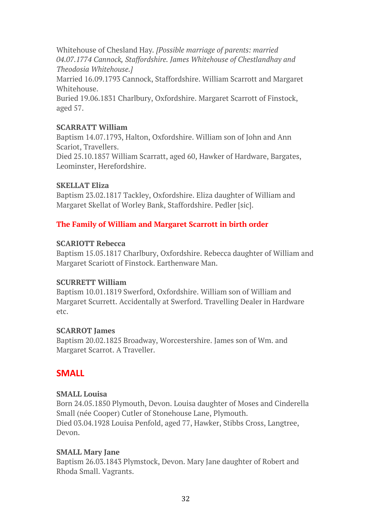Whitehouse of Chesland Hay*. [Possible marriage of parents: married 04.07.1774 Cannock, Staffordshire. James Whitehouse of Chestlandhay and Theodosia Whitehouse.]*

Married 16.09.1793 Cannock, Staffordshire. William Scarrott and Margaret Whitehouse.

Buried 19.06.1831 Charlbury, Oxfordshire. Margaret Scarrott of Finstock, aged 57.

### **SCARRATT William**

Baptism 14.07.1793, Halton, Oxfordshire. William son of John and Ann Scariot, Travellers.

Died 25.10.1857 William Scarratt, aged 60, Hawker of Hardware, Bargates, Leominster, Herefordshire.

### **SKELLAT Eliza**

Baptism 23.02.1817 Tackley, Oxfordshire. Eliza daughter of William and Margaret Skellat of Worley Bank, Staffordshire. Pedler [sic].

### **The Family of William and Margaret Scarrott in birth order**

### **SCARIOTT Rebecca**

Baptism 15.05.1817 Charlbury, Oxfordshire. Rebecca daughter of William and Margaret Scariott of Finstock. Earthenware Man.

### **SCURRETT William**

Baptism 10.01.1819 Swerford, Oxfordshire. William son of William and Margaret Scurrett. Accidentally at Swerford. Travelling Dealer in Hardware etc.

### **SCARROT James**

Baptism 20.02.1825 Broadway, Worcestershire. James son of Wm. and Margaret Scarrot. A Traveller.

# **SMALL**

### **SMALL Louisa**

Born 24.05.1850 Plymouth, Devon. Louisa daughter of Moses and Cinderella Small (née Cooper) Cutler of Stonehouse Lane, Plymouth. Died 03.04.1928 Louisa Penfold, aged 77, Hawker, Stibbs Cross, Langtree, Devon.

### **SMALL Mary Jane**

Baptism 26.03.1843 Plymstock, Devon. Mary Jane daughter of Robert and Rhoda Small. Vagrants.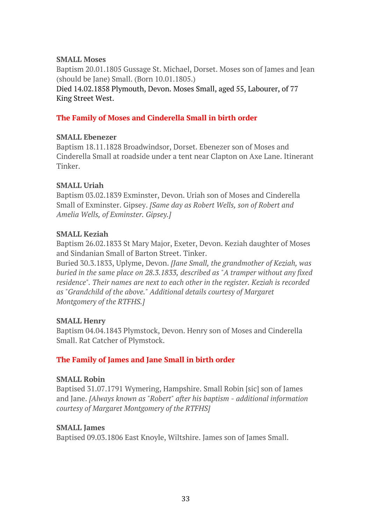### **SMALL Moses**

Baptism 20.01.1805 Gussage St. Michael, Dorset. Moses son of James and Jean (should be Jane) Small. (Born 10.01.1805.)

Died 14.02.1858 Plymouth, Devon. Moses Small, aged 55, Labourer, of 77 King Street West.

### **The Family of Moses and Cinderella Small in birth order**

### **SMALL Ebenezer**

Baptism 18.11.1828 Broadwindsor, Dorset. Ebenezer son of Moses and Cinderella Small at roadside under a tent near Clapton on Axe Lane. Itinerant Tinker.

### **SMALL Uriah**

Baptism 03.02.1839 Exminster, Devon. Uriah son of Moses and Cinderella Small of Exminster. Gipsey. *[Same day as Robert Wells, son of Robert and Amelia Wells, of Exminster. Gipsey.]*

### **SMALL Keziah**

Baptism 26.02.1833 St Mary Major, Exeter, Devon. Keziah daughter of Moses and Sindanian Small of Barton Street. Tinker.

Buried 30.3.1833, Uplyme, Devon. *[Jane Small, the grandmother of Keziah, was buried in the same place on 28.3.1833, described as "A tramper without any fixed residence". Their names are next to each other in the register. Keziah is recorded as "Grandchild of the above." Additional details courtesy of Margaret Montgomery of the RTFHS.]*

### **SMALL Henry**

Baptism 04.04.1843 Plymstock, Devon. Henry son of Moses and Cinderella Small. Rat Catcher of Plymstock.

### **The Family of James and Jane Small in birth order**

### **SMALL Robin**

Baptised 31.07.1791 Wymering, Hampshire. Small Robin [sic] son of James and Jane. *[Always known as "Robert" after his baptism - additional information courtesy of Margaret Montgomery of the RTFHS]*

### **SMALL James**

Baptised 09.03.1806 East Knoyle, Wiltshire. James son of James Small.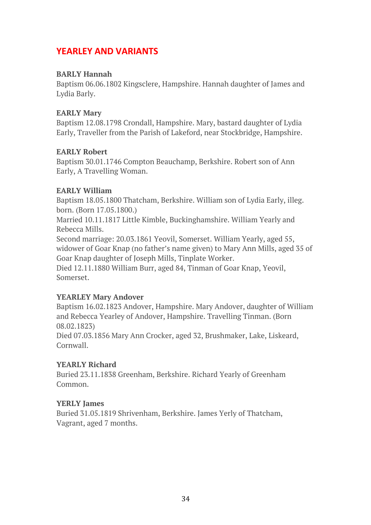# **YEARLEY AND VARIANTS**

### **BARLY Hannah**

Baptism 06.06.1802 Kingsclere, Hampshire. Hannah daughter of James and Lydia Barly.

### **EARLY Mary**

Baptism 12.08.1798 Crondall, Hampshire. Mary, bastard daughter of Lydia Early, Traveller from the Parish of Lakeford, near Stockbridge, Hampshire.

### **EARLY Robert**

Baptism 30.01.1746 Compton Beauchamp, Berkshire. Robert son of Ann Early, A Travelling Woman.

### **EARLY William**

Baptism 18.05.1800 Thatcham, Berkshire. William son of Lydia Early, illeg. born. (Born 17.05.1800.)

Married 10.11.1817 Little Kimble, Buckinghamshire. William Yearly and Rebecca Mills.

Second marriage: 20.03.1861 Yeovil, Somerset. William Yearly, aged 55, widower of Goar Knap (no father's name given) to Mary Ann Mills, aged 35 of Goar Knap daughter of Joseph Mills, Tinplate Worker.

Died 12.11.1880 William Burr, aged 84, Tinman of Goar Knap, Yeovil, Somerset.

### **YEARLEY Mary Andover**

Baptism 16.02.1823 Andover, Hampshire. Mary Andover, daughter of William and Rebecca Yearley of Andover, Hampshire. Travelling Tinman. (Born 08.02.1823)

Died 07.03.1856 Mary Ann Crocker, aged 32, Brushmaker, Lake, Liskeard, Cornwall.

### **YEARLY Richard**

Buried 23.11.1838 Greenham, Berkshire. Richard Yearly of Greenham Common.

### **YERLY James**

Buried 31.05.1819 Shrivenham, Berkshire. James Yerly of Thatcham, Vagrant, aged 7 months.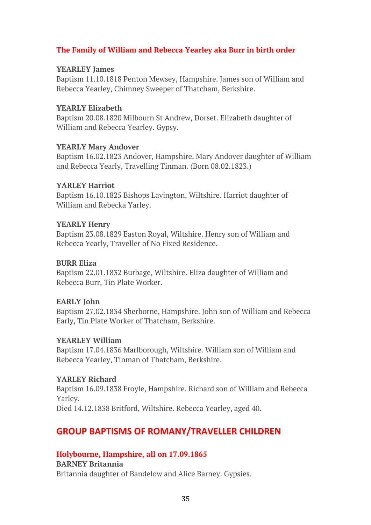### **The Family of William and Rebecca Yearley aka Burr in birth order**

#### **YEARLEY James**

Baptism 11.10.1818 Penton Mewsey, Hampshire. James son of William and Rebecca Yearley, Chimney Sweeper of Thatcham, Berkshire.

#### **YEARLY Elizabeth**

Baptism 20.08.1820 Milbourn St Andrew, Dorset. Elizabeth daughter of William and Rebecca Yearley. Gypsy.

#### **YEARLY Mary Andover**

Baptism 16.02.1823 Andover, Hampshire. Mary Andover daughter of William and Rebecca Yearly, Travelling Tinman. (Born 08.02.1823.)

#### **YARLEY Harriot**

Baptism 16.10.1825 Bishops Lavington, Wiltshire. Harriot daughter of William and Rebecka Yarley.

### **YEARLY Henry**

Baptism 23.08.1829 Easton Royal, Wiltshire. Henry son of William and Rebecca Yearly, Traveller of No Fixed Residence.

#### **BURR Eliza**

Baptism 22.01.1832 Burbage, Wiltshire. Eliza daughter of William and Rebecca Burr, Tin Plate Worker.

### **EARLY John**

Baptism 27.02.1834 Sherborne, Hampshire. John son of William and Rebecca Early, Tin Plate Worker of Thatcham, Berkshire.

### **YEARLEY William**

Baptism 17.04.1836 Marlborough, Wiltshire. William son of William and Rebecca Yearley, Tinman of Thatcham, Berkshire.

### **YARLEY Richard**

Baptism 16.09.1838 Froyle, Hampshire. Richard son of William and Rebecca Yarley.

Died 14.12.1838 Britford, Wiltshire. Rebecca Yearley, aged 40.

# **GROUP BAPTISMS OF ROMANY/TRAVELLER CHILDREN**

### **Holybourne, Hampshire, all on 17.09.1865**

#### **BARNEY Britannia**

Britannia daughter of Bandelow and Alice Barney. Gypsies.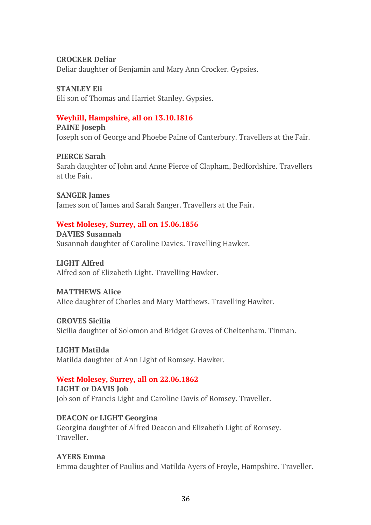#### **CROCKER Deliar**

Deliar daughter of Benjamin and Mary Ann Crocker. Gypsies.

### **STANLEY Eli**

Eli son of Thomas and Harriet Stanley. Gypsies.

### **Weyhill, Hampshire, all on 13.10.1816**

**PAINE Joseph** Joseph son of George and Phoebe Paine of Canterbury. Travellers at the Fair.

### **PIERCE Sarah**

Sarah daughter of John and Anne Pierce of Clapham, Bedfordshire. Travellers at the Fair.

**SANGER James** James son of James and Sarah Sanger. Travellers at the Fair.

### **West Molesey, Surrey, all on 15.06.1856**

**DAVIES Susannah** Susannah daughter of Caroline Davies. Travelling Hawker.

**LIGHT Alfred** Alfred son of Elizabeth Light. Travelling Hawker.

### **MATTHEWS Alice**

Alice daughter of Charles and Mary Matthews. Travelling Hawker.

**GROVES Sicilia** Sicilia daughter of Solomon and Bridget Groves of Cheltenham. Tinman.

**LIGHT Matilda** Matilda daughter of Ann Light of Romsey. Hawker.

### **West Molesey, Surrey, all on 22.06.1862**

**LIGHT or DAVIS Job** Job son of Francis Light and Caroline Davis of Romsey. Traveller.

### **DEACON or LIGHT Georgina**

Georgina daughter of Alfred Deacon and Elizabeth Light of Romsey. Traveller.

**AYERS Emma** Emma daughter of Paulius and Matilda Ayers of Froyle, Hampshire. Traveller.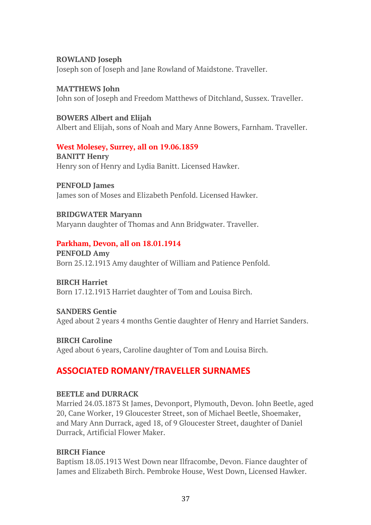#### **ROWLAND Joseph**

Joseph son of Joseph and Jane Rowland of Maidstone. Traveller.

**MATTHEWS John** John son of Joseph and Freedom Matthews of Ditchland, Sussex. Traveller.

#### **BOWERS Albert and Elijah**

Albert and Elijah, sons of Noah and Mary Anne Bowers, Farnham. Traveller.

#### **West Molesey, Surrey, all on 19.06.1859**

**BANITT Henry** Henry son of Henry and Lydia Banitt. Licensed Hawker.

**PENFOLD James** James son of Moses and Elizabeth Penfold. Licensed Hawker.

**BRIDGWATER Maryann** Maryann daughter of Thomas and Ann Bridgwater. Traveller.

### **Parkham, Devon, all on 18.01.1914**

**PENFOLD Amy** Born 25.12.1913 Amy daughter of William and Patience Penfold.

**BIRCH Harriet**

Born 17.12.1913 Harriet daughter of Tom and Louisa Birch.

### **SANDERS Gentie**

Aged about 2 years 4 months Gentie daughter of Henry and Harriet Sanders.

**BIRCH Caroline** Aged about 6 years, Caroline daughter of Tom and Louisa Birch.

# **ASSOCIATED ROMANY/TRAVELLER SURNAMES**

### **BEETLE and DURRACK**

Married 24.03.1873 St James, Devonport, Plymouth, Devon. John Beetle, aged 20, Cane Worker, 19 Gloucester Street, son of Michael Beetle, Shoemaker, and Mary Ann Durrack, aged 18, of 9 Gloucester Street, daughter of Daniel Durrack, Artificial Flower Maker.

### **BIRCH Fiance**

Baptism 18.05.1913 West Down near Ilfracombe, Devon. Fiance daughter of James and Elizabeth Birch. Pembroke House, West Down, Licensed Hawker.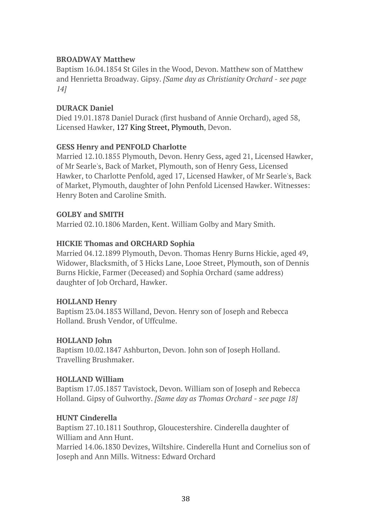### **BROADWAY Matthew**

Baptism 16.04.1854 St Giles in the Wood, Devon. Matthew son of Matthew and Henrietta Broadway. Gipsy. *[Same day as Christianity Orchard - see page 14]*

### **DURACK Daniel**

Died 19.01.1878 Daniel Durack (first husband of Annie Orchard), aged 58, Licensed Hawker, 127 King Street, Plymouth, Devon.

#### **GESS Henry and PENFOLD Charlotte**

Married 12.10.1855 Plymouth, Devon. Henry Gess, aged 21, Licensed Hawker, of Mr Searle's, Back of Market, Plymouth, son of Henry Gess, Licensed Hawker, to Charlotte Penfold, aged 17, Licensed Hawker, of Mr Searle's, Back of Market, Plymouth, daughter of John Penfold Licensed Hawker. Witnesses: Henry Boten and Caroline Smith.

#### **GOLBY and SMITH**

Married 02.10.1806 Marden, Kent. William Golby and Mary Smith.

### **HICKIE Thomas and ORCHARD Sophia**

Married 04.12.1899 Plymouth, Devon. Thomas Henry Burns Hickie, aged 49, Widower, Blacksmith, of 3 Hicks Lane, Looe Street, Plymouth, son of Dennis Burns Hickie, Farmer (Deceased) and Sophia Orchard (same address) daughter of Job Orchard, Hawker.

#### **HOLLAND Henry**

Baptism 23.04.1853 Willand, Devon. Henry son of Joseph and Rebecca Holland. Brush Vendor, of Uffculme.

#### **HOLLAND John**

Baptism 10.02.1847 Ashburton, Devon. John son of Joseph Holland. Travelling Brushmaker.

#### **HOLLAND William**

Baptism 17.05.1857 Tavistock, Devon. William son of Joseph and Rebecca Holland. Gipsy of Gulworthy. *[Same day as Thomas Orchard - see page 18]*

#### **HUNT Cinderella**

Baptism 27.10.1811 Southrop, Gloucestershire. Cinderella daughter of William and Ann Hunt.

Married 14.06.1830 Devizes, Wiltshire. Cinderella Hunt and Cornelius son of Joseph and Ann Mills. Witness: Edward Orchard